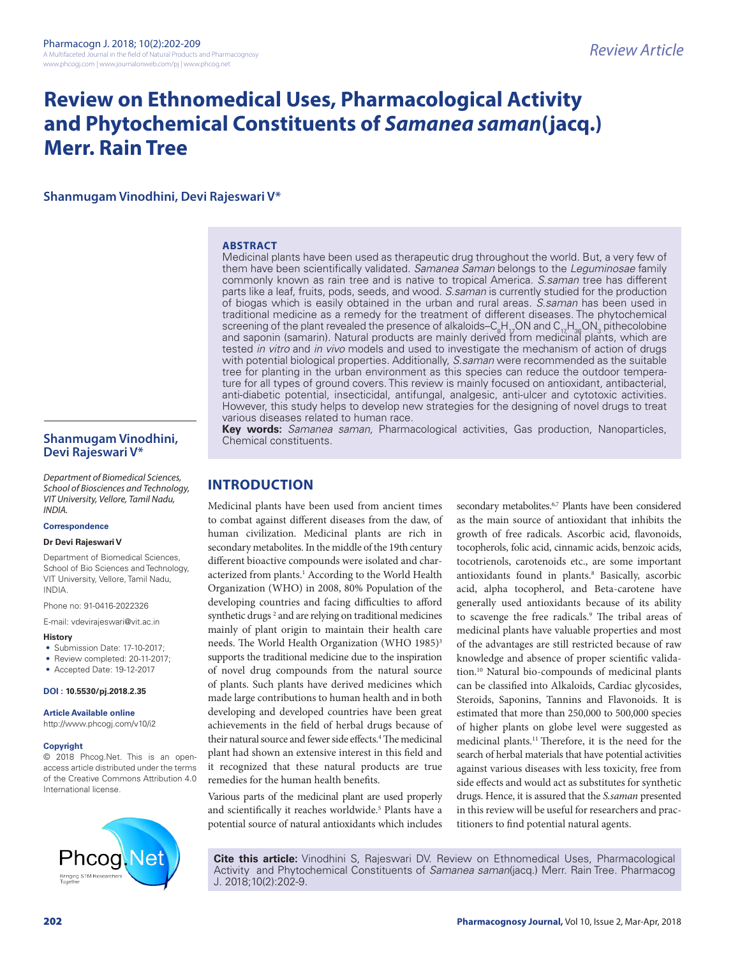# **Review on Ethnomedical Uses, Pharmacological Activity and Phytochemical Constituents of** *Samanea saman***(jacq.) Merr. Rain Tree**

**Shanmugam Vinodhini, Devi Rajeswari V\***

#### **ABSTRACT**

Medicinal plants have been used as therapeutic drug throughout the world. But, a very few of them have been scientifically validated. *Samanea Saman* belongs to the *Leguminosae* family commonly known as rain tree and is native to tropical America. *S.saman* tree has different parts like a leaf, fruits, pods, seeds, and wood. *S.saman* is currently studied for the production of biogas which is easily obtained in the urban and rural areas. *S.saman* has been used in traditional medicine as a remedy for the treatment of different diseases. The phytochemical screening of the plant revealed the presence of alkaloids–C $_{8}$ H $_{\nu}$ ON and C $_{17}$ H $_{36}$ ON $_{3}$  pithecolobine and saponin (samarin). Natural products are mainly derived from medicinal plants, which are tested *in vitro* and *in vivo* models and used to investigate the mechanism of action of drugs with potential biological properties. Additionally, *S.saman* were recommended as the suitable tree for planting in the urban environment as this species can reduce the outdoor temperature for all types of ground covers. This review is mainly focused on antioxidant, antibacterial, anti-diabetic potential, insecticidal, antifungal, analgesic, anti-ulcer and cytotoxic activities. However, this study helps to develop new strategies for the designing of novel drugs to treat various diseases related to human race.

**Key words:** *Samanea saman,* Pharmacological activities, Gas production, Nanoparticles,

**Shanmugam Vinodhini, Devi Rajeswari V\***

*Department of Biomedical Sciences, School of Biosciences and Technology, VIT University, Vellore, Tamil Nadu, INDIA.*

#### **Correspondence**

#### **Dr Devi Rajeswari V**

Department of Biomedical Sciences, School of Bio Sciences and Technology VIT University, Vellore, Tamil Nadu, INDIA.

Phone no: 91-0416-2022326

E-mail: vdevirajeswari@vit.ac.in

#### **History**

- Submission Date: 17-10-2017;
- Review completed: 20-11-2017;
- Accepted Date: 19-12-2017

#### **DOI : 10.5530/pj.2018.2.35**

**Article Available online** 

http://www.phcogj.com/v10/i2

#### **Copyright**

© 2018 Phcog.Net. This is an openaccess article distributed under the terms of the Creative Commons Attribution 4.0 International license.



**INTRODUCTION**

Chemical constituents.

Medicinal plants have been used from ancient times to combat against different diseases from the daw, of human civilization. Medicinal plants are rich in secondary metabolites. In the middle of the 19th century different bioactive compounds were isolated and characterized from plants.<sup>1</sup> According to the World Health Organization (WHO) in 2008, 80% Population of the developing countries and facing difficulties to afford synthetic drugs<sup>2</sup> and are relying on traditional medicines mainly of plant origin to maintain their health care needs. The World Health Organization (WHO 1985)<sup>3</sup> supports the traditional medicine due to the inspiration of novel drug compounds from the natural source of plants. Such plants have derived medicines which made large contributions to human health and in both developing and developed countries have been great achievements in the field of herbal drugs because of their natural source and fewer side effects.<sup>4</sup> The medicinal plant had shown an extensive interest in this field and it recognized that these natural products are true remedies for the human health benefits.

Various parts of the medicinal plant are used properly and scientifically it reaches worldwide.<sup>5</sup> Plants have a potential source of natural antioxidants which includes

secondary metabolites.<sup>6,7</sup> Plants have been considered as the main source of antioxidant that inhibits the growth of free radicals. Ascorbic acid, flavonoids, tocopherols, folic acid, cinnamic acids, benzoic acids, tocotrienols, carotenoids etc., are some important antioxidants found in plants.<sup>8</sup> Basically, ascorbic acid, alpha tocopherol, and Beta-carotene have generally used antioxidants because of its ability to scavenge the free radicals.<sup>9</sup> The tribal areas of medicinal plants have valuable properties and most of the advantages are still restricted because of raw knowledge and absence of proper scientific validation.10 Natural bio-compounds of medicinal plants can be classified into Alkaloids, Cardiac glycosides, Steroids, Saponins, Tannins and Flavonoids. It is estimated that more than 250,000 to 500,000 species of higher plants on globe level were suggested as medicinal plants.11 Therefore, it is the need for the search of herbal materials that have potential activities against various diseases with less toxicity, free from side effects and would act as substitutes for synthetic drugs. Hence, it is assured that the *S.saman* presented in this review will be useful for researchers and practitioners to find potential natural agents.

**Cite this article:** Vinodhini S, Rajeswari DV. Review on Ethnomedical Uses, Pharmacological Activity and Phytochemical Constituents of *Samanea saman*(jacq.) Merr. Rain Tree. Pharmacog J. 2018;10(2):202-9.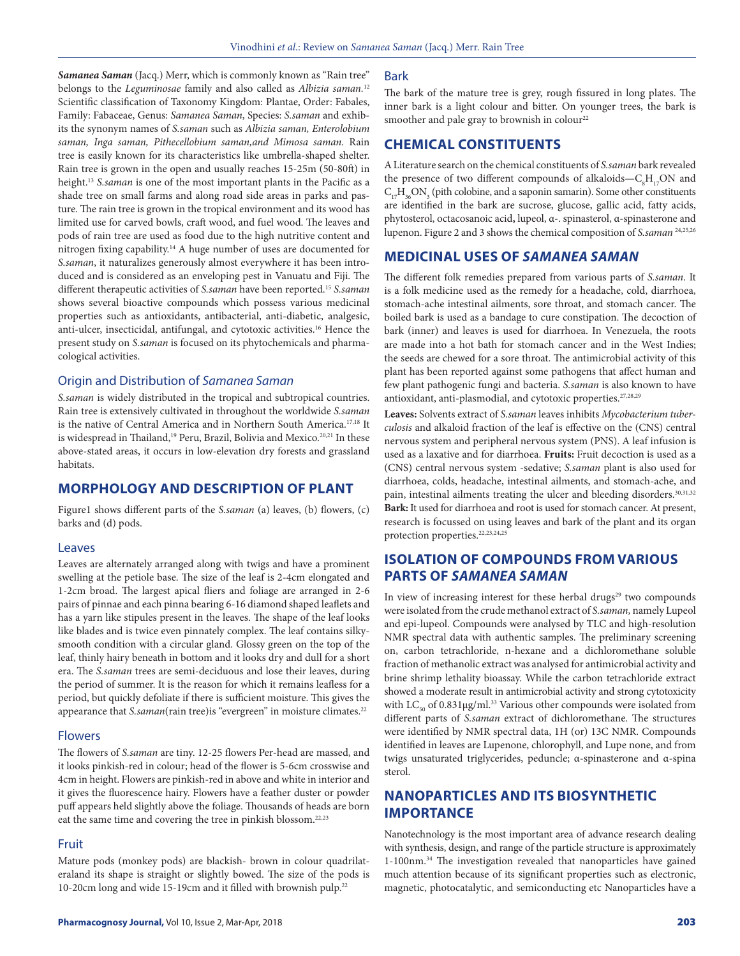*Samanea Saman* (Jacq.) Merr, which is commonly known as "Rain tree" belongs to the *Leguminosae* family and also called as *Albizia saman.*<sup>12</sup> Scientific classification of Taxonomy Kingdom: Plantae, Order: Fabales, Family: Fabaceae, Genus: *Samanea Saman*, Species: *S.saman* and exhibits the synonym names of *S.saman* such as *Albizia saman, Enterolobium saman, Inga saman, Pithecellobium saman,and Mimosa saman.* Rain tree is easily known for its characteristics like umbrella-shaped shelter. Rain tree is grown in the open and usually reaches 15-25m (50-80ft) in height.13 *S.saman* is one of the most important plants in the Pacific as a shade tree on small farms and along road side areas in parks and pasture. The rain tree is grown in the tropical environment and its wood has limited use for carved bowls, craft wood, and fuel wood. The leaves and pods of rain tree are used as food due to the high nutritive content and nitrogen fixing capability.14 A huge number of uses are documented for *S.saman*, it naturalizes generously almost everywhere it has been introduced and is considered as an enveloping pest in Vanuatu and Fiji. The different therapeutic activities of *S.saman* have been reported.15 *S.saman* shows several bioactive compounds which possess various medicinal properties such as antioxidants, antibacterial, anti-diabetic, analgesic, anti-ulcer, insecticidal, antifungal, and cytotoxic activities.16 Hence the present study on *S.saman* is focused on its phytochemicals and pharmacological activities.

#### Origin and Distribution of *Samanea Saman*

*S.saman* is widely distributed in the tropical and subtropical countries. Rain tree is extensively cultivated in throughout the worldwide *S.saman*  is the native of Central America and in Northern South America.17,18 It is widespread in Thailand,<sup>19</sup> Peru, Brazil, Bolivia and Mexico.<sup>20,21</sup> In these above-stated areas, it occurs in low-elevation dry forests and grassland habitats.

## **MORPHOLOGY AND DESCRIPTION OF PLANT**

Figure1 shows different parts of the *S.saman* (a) leaves, (b) flowers, (c) barks and (d) pods.

#### Leaves

Leaves are alternately arranged along with twigs and have a prominent swelling at the petiole base. The size of the leaf is 2-4cm elongated and 1-2cm broad. The largest apical fliers and foliage are arranged in 2-6 pairs of pinnae and each pinna bearing 6-16 diamond shaped leaflets and has a yarn like stipules present in the leaves. The shape of the leaf looks like blades and is twice even pinnately complex. The leaf contains silkysmooth condition with a circular gland. Glossy green on the top of the leaf, thinly hairy beneath in bottom and it looks dry and dull for a short era. The *S.saman* trees are semi-deciduous and lose their leaves, during the period of summer. It is the reason for which it remains leafless for a period, but quickly defoliate if there is sufficient moisture. This gives the appearance that *S.saman*(rain tree)is "evergreen" in moisture climates.<sup>22</sup>

#### **Flowers**

The flowers of *S.saman* are tiny. 12-25 flowers Per-head are massed, and it looks pinkish-red in colour; head of the flower is 5-6cm crosswise and 4cm in height. Flowers are pinkish-red in above and white in interior and it gives the fluorescence hairy. Flowers have a feather duster or powder puff appears held slightly above the foliage. Thousands of heads are born eat the same time and covering the tree in pinkish blossom.22,23

## Fruit

Mature pods (monkey pods) are blackish- brown in colour quadrilateraland its shape is straight or slightly bowed. The size of the pods is 10-20cm long and wide 15-19cm and it filled with brownish pulp.<sup>22</sup>

#### Bark

The bark of the mature tree is grey, rough fissured in long plates. The inner bark is a light colour and bitter. On younger trees, the bark is smoother and pale gray to brownish in colour<sup>22</sup>

## **CHEMICAL CONSTITUENTS**

A Literature search on the chemical constituents of *S.saman* bark revealed the presence of two different compounds of alkaloids— $C_8H_{17}ON$  and  $C_{17}H_{36}ON_3$  (pith colobine, and a saponin samarin). Some other constituents are identified in the bark are sucrose, glucose, gallic acid, fatty acids, phytosterol, octacosanoic acid**,** lupeol, α-. spinasterol, α-spinasterone and lupenon. Figure 2 and 3 shows the chemical composition of *S.saman* 24,25,26

## **MEDICINAL USES OF** *SAMANEA SAMAN*

The different folk remedies prepared from various parts of *S.saman*. It is a folk medicine used as the remedy for a headache, cold, diarrhoea, stomach-ache intestinal ailments, sore throat, and stomach cancer. The boiled bark is used as a bandage to cure constipation. The decoction of bark (inner) and leaves is used for diarrhoea. In Venezuela, the roots are made into a hot bath for stomach cancer and in the West Indies; the seeds are chewed for a sore throat. The antimicrobial activity of this plant has been reported against some pathogens that affect human and few plant pathogenic fungi and bacteria. *S.saman* is also known to have antioxidant, anti-plasmodial, and cytotoxic properties.27,28,29

**Leaves:** Solvents extract of *S.saman* leaves inhibits *Mycobacterium tuberculosis* and alkaloid fraction of the leaf is effective on the (CNS) central nervous system and peripheral nervous system (PNS). A leaf infusion is used as a laxative and for diarrhoea. **Fruits:** Fruit decoction is used as a (CNS) central nervous system -sedative; *S.saman* plant is also used for diarrhoea, colds, headache, intestinal ailments, and stomach-ache, and pain, intestinal ailments treating the ulcer and bleeding disorders.<sup>30,31,32</sup> **Bark:** It used for diarrhoea and root is used for stomach cancer. At present, research is focussed on using leaves and bark of the plant and its organ protection properties.<sup>22,23,24,25</sup>

## **ISOLATION OF COMPOUNDS FROM VARIOUS PARTS OF** *SAMANEA SAMAN*

In view of increasing interest for these herbal drugs<sup>29</sup> two compounds were isolated from the crude methanol extract of *S.saman,* namely Lupeol and epi-lupeol. Compounds were analysed by TLC and high-resolution NMR spectral data with authentic samples. The preliminary screening on, carbon tetrachloride, n-hexane and a dichloromethane soluble fraction of methanolic extract was analysed for antimicrobial activity and brine shrimp lethality bioassay. While the carbon tetrachloride extract showed a moderate result in antimicrobial activity and strong cytotoxicity with  $LC_{50}$  of 0.831µg/ml.<sup>33</sup> Various other compounds were isolated from different parts of *S.saman* extract of dichloromethane. The structures were identified by NMR spectral data, 1H (or) 13C NMR. Compounds identified in leaves are Lupenone, chlorophyll, and Lupe none, and from twigs unsaturated triglycerides, peduncle; α-spinasterone and α-spina sterol.

## **NANOPARTICLES AND ITS BIOSYNTHETIC IMPORTANCE**

Nanotechnology is the most important area of advance research dealing with synthesis, design, and range of the particle structure is approximately 1-100nm.34 The investigation revealed that nanoparticles have gained much attention because of its significant properties such as electronic, magnetic, photocatalytic, and semiconducting etc Nanoparticles have a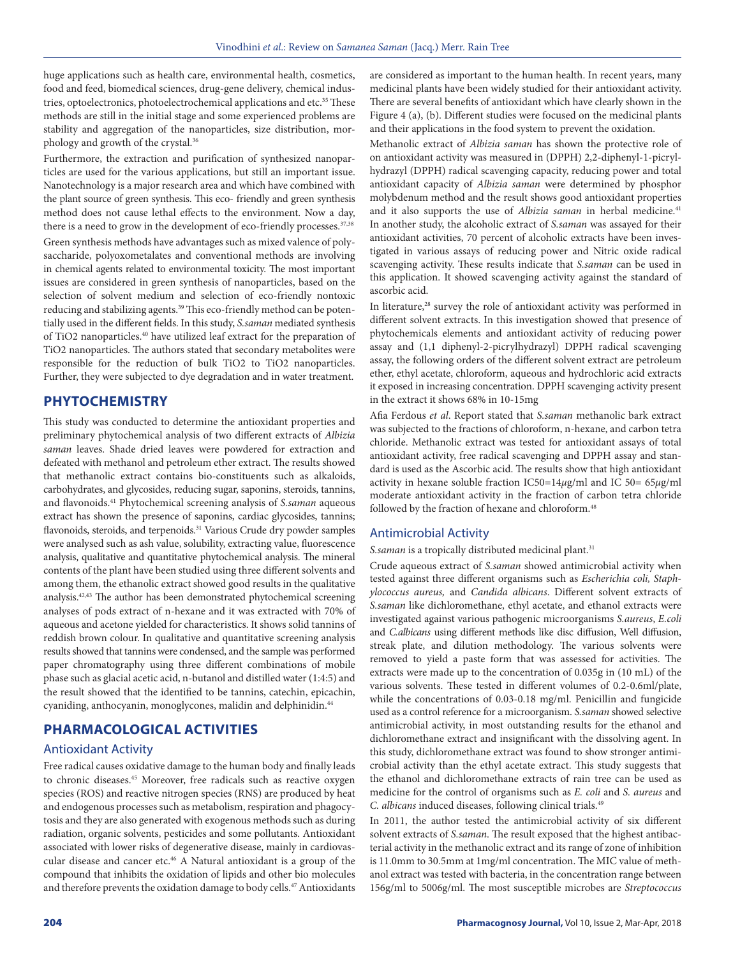huge applications such as health care, environmental health, cosmetics, food and feed, biomedical sciences, drug-gene delivery, chemical industries, optoelectronics, photoelectrochemical applications and etc.<sup>35</sup> These methods are still in the initial stage and some experienced problems are stability and aggregation of the nanoparticles, size distribution, morphology and growth of the crystal.36

Furthermore, the extraction and purification of synthesized nanoparticles are used for the various applications, but still an important issue. Nanotechnology is a major research area and which have combined with the plant source of green synthesis. This eco- friendly and green synthesis method does not cause lethal effects to the environment. Now a day, there is a need to grow in the development of eco-friendly processes.<sup>37,38</sup> Green synthesis methods have advantages such as mixed valence of polysaccharide, polyoxometalates and conventional methods are involving in chemical agents related to environmental toxicity. The most important issues are considered in green synthesis of nanoparticles, based on the selection of solvent medium and selection of eco-friendly nontoxic reducing and stabilizing agents.<sup>39</sup> This eco-friendly method can be potentially used in the different fields. In this study, *S.saman* mediated synthesis of TiO2 nanoparticles.40 have utilized leaf extract for the preparation of TiO2 nanoparticles. The authors stated that secondary metabolites were responsible for the reduction of bulk TiO2 to TiO2 nanoparticles. Further, they were subjected to dye degradation and in water treatment.

## **PHYTOCHEMISTRY**

This study was conducted to determine the antioxidant properties and preliminary phytochemical analysis of two different extracts of *Albizia saman* leaves. Shade dried leaves were powdered for extraction and defeated with methanol and petroleum ether extract. The results showed that methanolic extract contains bio-constituents such as alkaloids, carbohydrates, and glycosides, reducing sugar, saponins, steroids, tannins, and flavonoids.41 Phytochemical screening analysis of *S.saman* aqueous extract has shown the presence of saponins, cardiac glycosides, tannins; flavonoids, steroids, and terpenoids.<sup>31</sup> Various Crude dry powder samples were analysed such as ash value, solubility, extracting value, fluorescence analysis, qualitative and quantitative phytochemical analysis. The mineral contents of the plant have been studied using three different solvents and among them, the ethanolic extract showed good results in the qualitative analysis.42,43 The author has been demonstrated phytochemical screening analyses of pods extract of n-hexane and it was extracted with 70% of aqueous and acetone yielded for characteristics. It shows solid tannins of reddish brown colour. In qualitative and quantitative screening analysis results showed that tannins were condensed, and the sample was performed paper chromatography using three different combinations of mobile phase such as glacial acetic acid, n-butanol and distilled water (1:4:5) and the result showed that the identified to be tannins, catechin, epicachin, cyaniding, anthocyanin, monoglycones, malidin and delphinidin.44

## **PHARMACOLOGICAL ACTIVITIES**

## Antioxidant Activity

Free radical causes oxidative damage to the human body and finally leads to chronic diseases.45 Moreover, free radicals such as reactive oxygen species (ROS) and reactive nitrogen species (RNS) are produced by heat and endogenous processes such as metabolism, respiration and phagocytosis and they are also generated with exogenous methods such as during radiation, organic solvents, pesticides and some pollutants. Antioxidant associated with lower risks of degenerative disease, mainly in cardiovascular disease and cancer etc.46 A Natural antioxidant is a group of the compound that inhibits the oxidation of lipids and other bio molecules and therefore prevents the oxidation damage to body cells.<sup>47</sup> Antioxidants are considered as important to the human health. In recent years, many medicinal plants have been widely studied for their antioxidant activity. There are several benefits of antioxidant which have clearly shown in the Figure 4 (a), (b). Different studies were focused on the medicinal plants and their applications in the food system to prevent the oxidation.

Methanolic extract of *Albizia saman* has shown the protective role of on antioxidant activity was measured in (DPPH) 2,2-diphenyl-1-picrylhydrazyl (DPPH) radical scavenging capacity, reducing power and total antioxidant capacity of *Albizia saman* were determined by phosphor molybdenum method and the result shows good antioxidant properties and it also supports the use of *Albizia saman* in herbal medicine.<sup>41</sup> In another study, the alcoholic extract of *S.saman* was assayed for their antioxidant activities, 70 percent of alcoholic extracts have been investigated in various assays of reducing power and Nitric oxide radical scavenging activity. These results indicate that *S.saman* can be used in this application. It showed scavenging activity against the standard of ascorbic acid.

In literature,<sup>28</sup> survey the role of antioxidant activity was performed in different solvent extracts. In this investigation showed that presence of phytochemicals elements and antioxidant activity of reducing power assay and (1,1 diphenyl-2-picrylhydrazyl) DPPH radical scavenging assay, the following orders of the different solvent extract are petroleum ether, ethyl acetate, chloroform, aqueous and hydrochloric acid extracts it exposed in increasing concentration. DPPH scavenging activity present in the extract it shows 68% in 10-15mg

Afia Ferdous *et al*. Report stated that *S.saman* methanolic bark extract was subjected to the fractions of chloroform, n-hexane, and carbon tetra chloride. Methanolic extract was tested for antioxidant assays of total antioxidant activity, free radical scavenging and DPPH assay and standard is used as the Ascorbic acid. The results show that high antioxidant activity in hexane soluble fraction IC50=14*µ*g/ml and IC 50= 65*µ*g/ml moderate antioxidant activity in the fraction of carbon tetra chloride followed by the fraction of hexane and chloroform.<sup>48</sup>

#### Antimicrobial Activity

S.saman is a tropically distributed medicinal plant.<sup>31</sup>

Crude aqueous extract of *S.saman* showed antimicrobial activity when tested against three different organisms such as *Escherichia coli, Staphylococcus aureus,* and *Candida albicans*. Different solvent extracts of *S.saman* like dichloromethane, ethyl acetate, and ethanol extracts were investigated against various pathogenic microorganisms *S.aureus*, *E.coli* and *C.albicans* using different methods like disc diffusion, Well diffusion, streak plate, and dilution methodology. The various solvents were removed to yield a paste form that was assessed for activities. The extracts were made up to the concentration of 0.035g in (10 mL) of the various solvents. These tested in different volumes of 0.2-0.6ml/plate, while the concentrations of 0.03-0.18 mg/ml. Penicillin and fungicide used as a control reference for a microorganism. *S.saman* showed selective antimicrobial activity, in most outstanding results for the ethanol and dichloromethane extract and insignificant with the dissolving agent. In this study, dichloromethane extract was found to show stronger antimicrobial activity than the ethyl acetate extract. This study suggests that the ethanol and dichloromethane extracts of rain tree can be used as medicine for the control of organisms such as *E. coli* and *S. aureus* and *C. albicans* induced diseases, following clinical trials.49

In 2011, the author tested the antimicrobial activity of six different solvent extracts of *S.saman*. The result exposed that the highest antibacterial activity in the methanolic extract and its range of zone of inhibition is 11.0mm to 30.5mm at 1mg/ml concentration. The MIC value of methanol extract was tested with bacteria, in the concentration range between 156g/ml to 5006g/ml. The most susceptible microbes are *Streptococcus*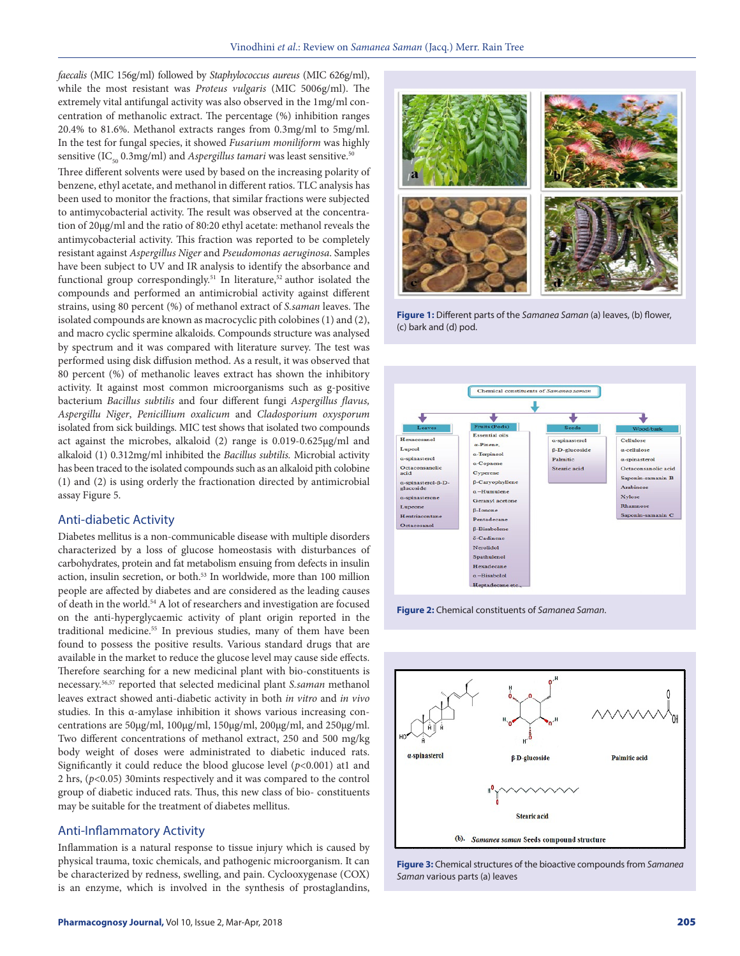*faecalis* (MIC 156g/ml) followed by *Staphylococcus aureus* (MIC 626g/ml), while the most resistant was *Proteus vulgaris* (MIC 5006g/ml). The extremely vital antifungal activity was also observed in the 1mg/ml concentration of methanolic extract. The percentage (%) inhibition ranges 20.4% to 81.6%. Methanol extracts ranges from 0.3mg/ml to 5mg/ml. In the test for fungal species, it showed *Fusarium moniliform* was highly sensitive (IC<sub>50</sub> 0.3mg/ml) and *Aspergillus tamari* was least sensitive.<sup>50</sup>

Three different solvents were used by based on the increasing polarity of benzene, ethyl acetate, and methanol in different ratios. TLC analysis has been used to monitor the fractions, that similar fractions were subjected to antimycobacterial activity. The result was observed at the concentration of 20µg/ml and the ratio of 80:20 ethyl acetate: methanol reveals the antimycobacterial activity. This fraction was reported to be completely resistant against *Aspergillus Niger* and *Pseudomonas aeruginosa*. Samples have been subject to UV and IR analysis to identify the absorbance and functional group correspondingly.<sup>51</sup> In literature,<sup>52</sup> author isolated the compounds and performed an antimicrobial activity against different strains, using 80 percent (%) of methanol extract of *S.saman* leaves. The isolated compounds are known as macrocyclic pith colobines (1) and (2), and macro cyclic spermine alkaloids. Compounds structure was analysed by spectrum and it was compared with literature survey. The test was performed using disk diffusion method. As a result, it was observed that 80 percent (%) of methanolic leaves extract has shown the inhibitory activity. It against most common microorganisms such as g-positive bacterium *Bacillus subtilis* and four different fungi *Aspergillus flavus, Aspergillu Niger*, *Penicillium oxalicum* and *Cladosporium oxysporum* isolated from sick buildings. MIC test shows that isolated two compounds act against the microbes, alkaloid (2) range is 0.019-0.625µg/ml and alkaloid (1) 0.312mg/ml inhibited the *Bacillus subtilis.* Microbial activity has been traced to the isolated compounds such as an alkaloid pith colobine (1) and (2) is using orderly the fractionation directed by antimicrobial assay Figure 5.

#### Anti-diabetic Activity

Diabetes mellitus is a non-communicable disease with multiple disorders characterized by a loss of glucose homeostasis with disturbances of carbohydrates, protein and fat metabolism ensuing from defects in insulin action, insulin secretion, or both.53 In worldwide, more than 100 million people are affected by diabetes and are considered as the leading causes of death in the world.54 A lot of researchers and investigation are focused on the anti-hyperglycaemic activity of plant origin reported in the traditional medicine.<sup>55</sup> In previous studies, many of them have been found to possess the positive results. Various standard drugs that are available in the market to reduce the glucose level may cause side effects. Therefore searching for a new medicinal plant with bio-constituents is necessary.56,57 reported that selected medicinal plant *S.saman* methanol leaves extract showed anti-diabetic activity in both *in vitro* and *in vivo*  studies. In this α-amylase inhibition it shows various increasing concentrations are 50μg/ml, 100μg/ml, 150μg/ml, 200μg/ml, and 250μg/ml. Two different concentrations of methanol extract, 250 and 500 mg/kg body weight of doses were administrated to diabetic induced rats. Significantly it could reduce the blood glucose level (*p*<0.001) at1 and 2 hrs, (*p*<0.05) 30mints respectively and it was compared to the control group of diabetic induced rats. Thus, this new class of bio- constituents may be suitable for the treatment of diabetes mellitus.

#### Anti-Inflammatory Activity

Inflammation is a natural response to tissue injury which is caused by physical trauma, toxic chemicals, and pathogenic microorganism. It can be characterized by redness, swelling, and pain. Cyclooxygenase (COX) is an enzyme, which is involved in the synthesis of prostaglandins,



**Figure 1:** Different parts of the *Samanea Saman* (a) leaves, (b) flower, (c) bark and (d) pod.







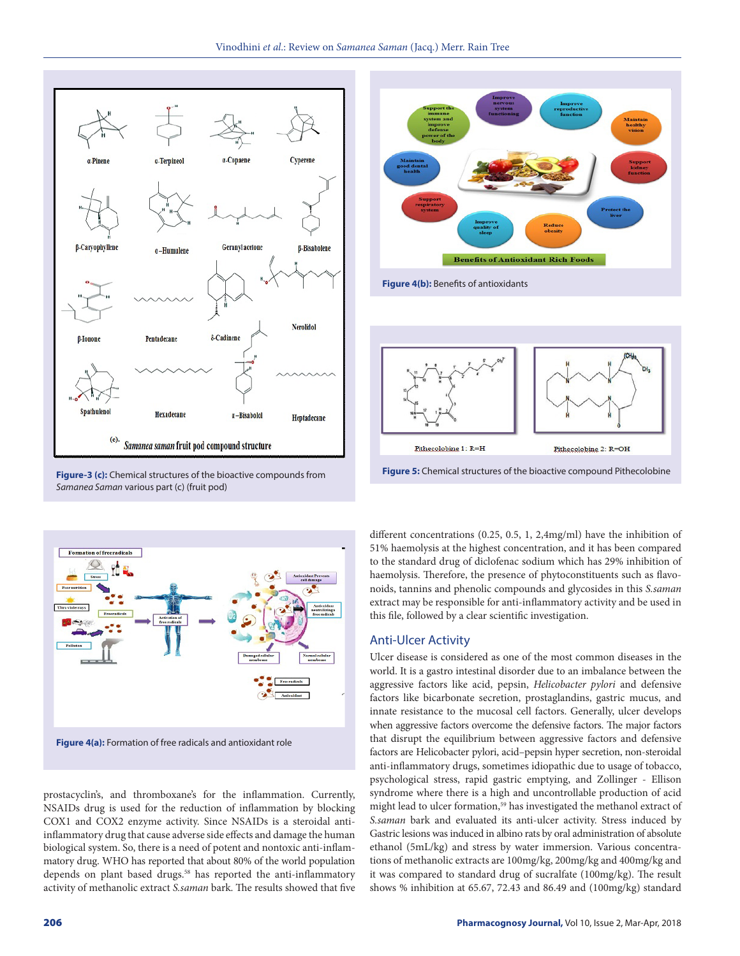



**Figure 4(b):** Benefits of antioxidants



**Figure-3 (c):** Chemical structures of the bioactive compounds from *Samanea Saman* various part (c) (fruit pod)



prostacyclin's, and thromboxane's for the inflammation. Currently, NSAIDs drug is used for the reduction of inflammation by blocking COX1 and COX2 enzyme activity. Since NSAIDs is a steroidal antiinflammatory drug that cause adverse side effects and damage the human biological system. So, there is a need of potent and nontoxic anti-inflammatory drug. WHO has reported that about 80% of the world population depends on plant based drugs.<sup>58</sup> has reported the anti-inflammatory activity of methanolic extract *S.saman* bark. The results showed that five

different concentrations (0.25, 0.5, 1, 2,4mg/ml) have the inhibition of

51% haemolysis at the highest concentration, and it has been compared to the standard drug of diclofenac sodium which has 29% inhibition of haemolysis. Therefore, the presence of phytoconstituents such as flavonoids, tannins and phenolic compounds and glycosides in this *S.saman*  extract may be responsible for anti-inflammatory activity and be used in this file, followed by a clear scientific investigation.

## Anti-Ulcer Activity

Ulcer disease is considered as one of the most common diseases in the world. It is a gastro intestinal disorder due to an imbalance between the aggressive factors like acid, pepsin, *Helicobacter pylori* and defensive factors like bicarbonate secretion, prostaglandins, gastric mucus, and innate resistance to the mucosal cell factors. Generally, ulcer develops when aggressive factors overcome the defensive factors. The major factors that disrupt the equilibrium between aggressive factors and defensive factors are Helicobacter pylori, acid–pepsin hyper secretion, non-steroidal anti-inflammatory drugs, sometimes idiopathic due to usage of tobacco, psychological stress, rapid gastric emptying, and Zollinger - Ellison syndrome where there is a high and uncontrollable production of acid might lead to ulcer formation,<sup>59</sup> has investigated the methanol extract of *S.saman* bark and evaluated its anti-ulcer activity. Stress induced by Gastric lesions was induced in albino rats by oral administration of absolute ethanol (5mL/kg) and stress by water immersion. Various concentrations of methanolic extracts are 100mg/kg, 200mg/kg and 400mg/kg and it was compared to standard drug of sucralfate (100mg/kg). The result shows % inhibition at 65.67, 72.43 and 86.49 and (100mg/kg) standard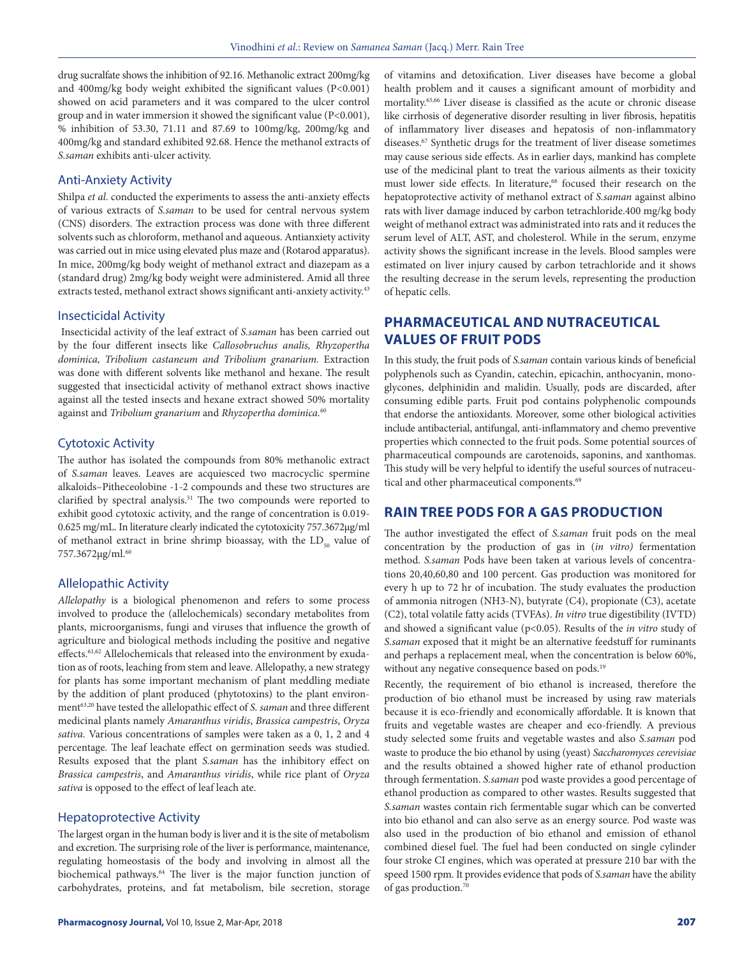drug sucralfate shows the inhibition of 92.16. Methanolic extract 200mg/kg and 400mg/kg body weight exhibited the significant values (P<0.001) showed on acid parameters and it was compared to the ulcer control group and in water immersion it showed the significant value (P<0.001), % inhibition of 53.30, 71.11 and 87.69 to 100mg/kg, 200mg/kg and 400mg/kg and standard exhibited 92.68. Hence the methanol extracts of *S.saman* exhibits anti-ulcer activity.

#### Anti-Anxiety Activity

Shilpa *et al*. conducted the experiments to assess the anti-anxiety effects of various extracts of *S.saman* to be used for central nervous system (CNS) disorders. The extraction process was done with three different solvents such as chloroform, methanol and aqueous. Antianxiety activity was carried out in mice using elevated plus maze and (Rotarod apparatus). In mice, 200mg/kg body weight of methanol extract and diazepam as a (standard drug) 2mg/kg body weight were administered. Amid all three extracts tested, methanol extract shows significant anti-anxiety activity.<sup>43</sup>

#### Insecticidal Activity

 Insecticidal activity of the leaf extract of *S.saman* has been carried out by the four different insects like *Callosobruchus analis, Rhyzopertha dominica, Tribolium castaneum and Tribolium granarium.* Extraction was done with different solvents like methanol and hexane. The result suggested that insecticidal activity of methanol extract shows inactive against all the tested insects and hexane extract showed 50% mortality against and *Tribolium granarium* and *Rhyzopertha dominica.*<sup>60</sup>

#### Cytotoxic Activity

The author has isolated the compounds from 80% methanolic extract of *S.saman* leaves. Leaves are acquiesced two macrocyclic spermine alkaloids–Pitheceolobine -1-2 compounds and these two structures are clarified by spectral analysis.<sup>51</sup> The two compounds were reported to exhibit good cytotoxic activity, and the range of concentration is 0.019- 0.625 mg/mL. In literature clearly indicated the cytotoxicity 757.3672μg/ml of methanol extract in brine shrimp bioassay, with the  $LD_{50}$  value of 757.3672μg/ml.60

#### Allelopathic Activity

*Allelopathy* is a biological phenomenon and refers to some process involved to produce the (allelochemicals) secondary metabolites from plants, microorganisms, fungi and viruses that influence the growth of agriculture and biological methods including the positive and negative effects.61,62 Allelochemicals that released into the environment by exudation as of roots, leaching from stem and leave. Allelopathy, a new strategy for plants has some important mechanism of plant meddling mediate by the addition of plant produced (phytotoxins) to the plant environment63,20 have tested the allelopathic effect of *S. saman* and three different medicinal plants namely *Amaranthus viridis*, *Brassica campestris*, *Oryza sativa.* Various concentrations of samples were taken as a 0, 1, 2 and 4 percentage. The leaf leachate effect on germination seeds was studied. Results exposed that the plant *S.saman* has the inhibitory effect on *Brassica campestris*, and *Amaranthus viridis*, while rice plant of *Oryza sativa* is opposed to the effect of leaf leach ate.

#### Hepatoprotective Activity

The largest organ in the human body is liver and it is the site of metabolism and excretion. The surprising role of the liver is performance, maintenance, regulating homeostasis of the body and involving in almost all the biochemical pathways.<sup>64</sup> The liver is the major function junction of carbohydrates, proteins, and fat metabolism, bile secretion, storage of vitamins and detoxification. Liver diseases have become a global health problem and it causes a significant amount of morbidity and mortality.65,66 Liver disease is classified as the acute or chronic disease like cirrhosis of degenerative disorder resulting in liver fibrosis, hepatitis of inflammatory liver diseases and hepatosis of non-inflammatory diseases.67 Synthetic drugs for the treatment of liver disease sometimes may cause serious side effects. As in earlier days, mankind has complete use of the medicinal plant to treat the various ailments as their toxicity must lower side effects. In literature,<sup>68</sup> focused their research on the hepatoprotective activity of methanol extract of *S.saman* against albino rats with liver damage induced by carbon tetrachloride.400 mg/kg body weight of methanol extract was administrated into rats and it reduces the serum level of ALT, AST, and cholesterol. While in the serum, enzyme activity shows the significant increase in the levels. Blood samples were estimated on liver injury caused by carbon tetrachloride and it shows the resulting decrease in the serum levels, representing the production of hepatic cells.

## **PHARMACEUTICAL AND NUTRACEUTICAL VALUES OF FRUIT PODS**

In this study, the fruit pods of *S.saman* contain various kinds of beneficial polyphenols such as Cyandin, catechin, epicachin, anthocyanin, monoglycones, delphinidin and malidin. Usually, pods are discarded, after consuming edible parts. Fruit pod contains polyphenolic compounds that endorse the antioxidants. Moreover, some other biological activities include antibacterial, antifungal, anti-inflammatory and chemo preventive properties which connected to the fruit pods. Some potential sources of pharmaceutical compounds are carotenoids, saponins, and xanthomas. This study will be very helpful to identify the useful sources of nutraceutical and other pharmaceutical components.<sup>69</sup>

## **RAIN TREE PODS FOR A GAS PRODUCTION**

The author investigated the effect of *S.saman* fruit pods on the meal concentration by the production of gas in (*in vitro)* fermentation method. *S.saman* Pods have been taken at various levels of concentrations 20,40,60,80 and 100 percent. Gas production was monitored for every h up to 72 hr of incubation. The study evaluates the production of ammonia nitrogen (NH3-N), butyrate (C4), propionate (C3), acetate (C2), total volatile fatty acids (TVFAs). *In vitro* true digestibility (IVTD) and showed a significant value (p<0.05). Results of the *in vitro* study of *S.saman* exposed that it might be an alternative feedstuff for ruminants and perhaps a replacement meal, when the concentration is below 60%, without any negative consequence based on pods.<sup>19</sup>

Recently, the requirement of bio ethanol is increased, therefore the production of bio ethanol must be increased by using raw materials because it is eco-friendly and economically affordable. It is known that fruits and vegetable wastes are cheaper and eco-friendly. A previous study selected some fruits and vegetable wastes and also *S.saman* pod waste to produce the bio ethanol by using (yeast) *Saccharomyces cerevisiae* and the results obtained a showed higher rate of ethanol production through fermentation. *S.saman* pod waste provides a good percentage of ethanol production as compared to other wastes. Results suggested that *S.saman* wastes contain rich fermentable sugar which can be converted into bio ethanol and can also serve as an energy source. Pod waste was also used in the production of bio ethanol and emission of ethanol combined diesel fuel. The fuel had been conducted on single cylinder four stroke CI engines, which was operated at pressure 210 bar with the speed 1500 rpm. It provides evidence that pods of *S.saman* have the ability of gas production.70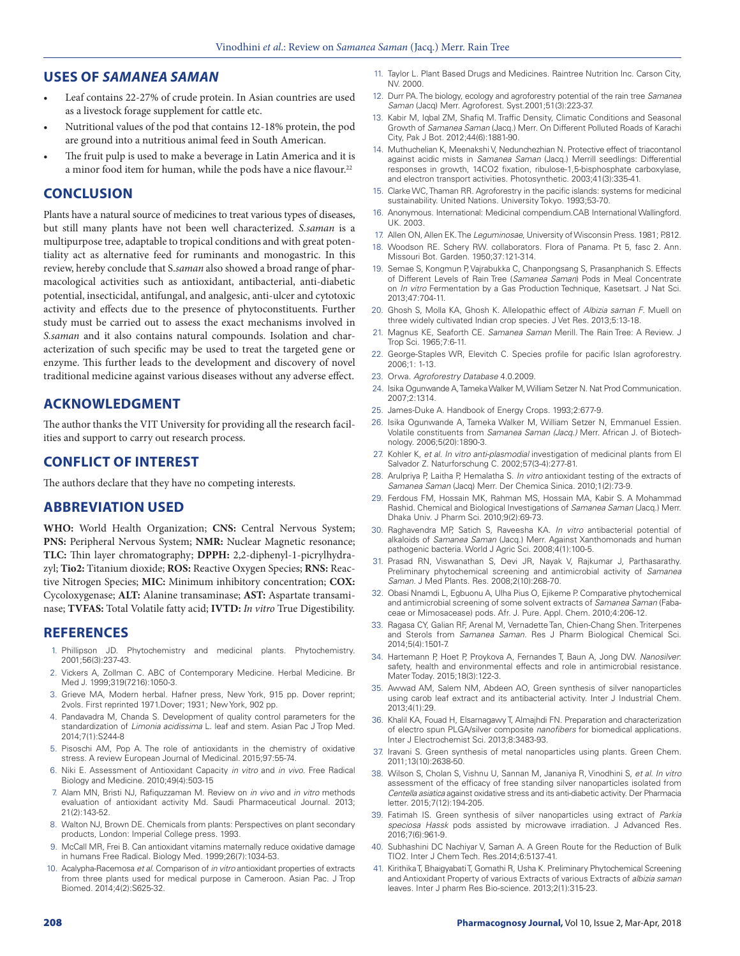### **USES OF** *SAMANEA SAMAN*

- Leaf contains 22-27% of crude protein. In Asian countries are used as a livestock forage supplement for cattle etc.
- Nutritional values of the pod that contains 12-18% protein, the pod are ground into a nutritious animal feed in South American.
- The fruit pulp is used to make a beverage in Latin America and it is a minor food item for human, while the pods have a nice flavour.<sup>22</sup>

### **CONCLUSION**

Plants have a natural source of medicines to treat various types of diseases, but still many plants have not been well characterized. *S.saman* is a multipurpose tree, adaptable to tropical conditions and with great potentiality act as alternative feed for ruminants and monogastric. In this review, hereby conclude that S.*saman* also showed a broad range of pharmacological activities such as antioxidant, antibacterial, anti-diabetic potential, insecticidal, antifungal, and analgesic, anti-ulcer and cytotoxic activity and effects due to the presence of phytoconstituents. Further study must be carried out to assess the exact mechanisms involved in *S.saman* and it also contains natural compounds. Isolation and characterization of such specific may be used to treat the targeted gene or enzyme. This further leads to the development and discovery of novel traditional medicine against various diseases without any adverse effect.

## **ACKNOWLEDGMENT**

The author thanks the VIT University for providing all the research facilities and support to carry out research process.

### **CONFLICT OF INTEREST**

The authors declare that they have no competing interests.

## **ABBREVIATION USED**

**WHO:** World Health Organization; **CNS:** Central Nervous System; **PNS:** Peripheral Nervous System; **NMR:** Nuclear Magnetic resonance; **TLC:** Thin layer chromatography; **DPPH:** 2,2-diphenyl-1-picrylhydrazyl; **Tio2:** Titanium dioxide; **ROS:** Reactive Oxygen Species; **RNS:** Reactive Nitrogen Species; **MIC:** Minimum inhibitory concentration; **COX:** Cycoloxygenase; **ALT:** Alanine transaminase; **AST:** Aspartate transaminase; **TVFAS:** Total Volatile fatty acid; **IVTD:** *In vitro* True Digestibility.

#### **REFERENCES**

- 1. Phillipson JD. Phytochemistry and medicinal plants. Phytochemistry. 2001;56(3):237-43.
- 2. Vickers A, Zollman C. ABC of Contemporary Medicine. Herbal Medicine. Br Med J. 1999;319(7216):1050-3.
- 3. Grieve MA, Modern herbal. Hafner press, New York, 915 pp. Dover reprint; 2vols. First reprinted 1971.Dover; 1931; New York, 902 pp.
- 4. Pandavadra M, Chanda S. Development of quality control parameters for the standardization of *Limonia acidissima* L. leaf and stem. Asian Pac J Trop Med. 2014;7(1):S244-8
- 5. Pisoschi AM, Pop A. The role of antioxidants in the chemistry of oxidative stress. A review European Journal of Medicinal. 2015;97:55-74.
- 6. Niki E. Assessment of Antioxidant Capacity *in vitro* and *in vivo*. Free Radical Biology and Medicine. 2010;49(4):503-15
- 7. Alam MN, Bristi NJ, Rafiquzzaman M. Review on *in vivo* and *in vitro* methods evaluation of antioxidant activity Md. Saudi Pharmaceutical Journal. 2013; 21(2):143-52.
- 8. Walton NJ, Brown DE. Chemicals from plants: Perspectives on plant secondary products, London: Imperial College press. 1993.
- 9. McCall MR, Frei B. Can antioxidant vitamins maternally reduce oxidative damage in humans Free Radical. Biology Med. 1999;26(7):1034-53.
- 10. Acalypha-Racemosa *et al*. Comparison of *in vitro* antioxidant properties of extracts from three plants used for medical purpose in Cameroon. Asian Pac. J Trop Biomed. 2014;4(2):S625-32.
- 11. Taylor L. Plant Based Drugs and Medicines. Raintree Nutrition Inc. Carson City, NV. 2000.
- 12. Durr PA. The biology, ecology and agroforestry potential of the rain tree *Samanea Saman* (Jacq) Merr. Agroforest. Syst.2001;51(3):223-37.
- 13. Kabir M, Iqbal ZM, Shafiq M. Traffic Density, Climatic Conditions and Seasonal Growth of *Samanea Saman* (Jacq.) Merr. On Different Polluted Roads of Karachi City, Pak J Bot. 2012;44(6):1881-90.
- 14. Muthuchelian K, Meenakshi V, Nedunchezhian N. Protective effect of triacontanol against acidic mists in *Samanea Saman* (Jacq.) Merrill seedlings: Differential responses in growth, 14CO2 fixation, ribulose-1,5-bisphosphate carboxylase, and electron transport activities. Photosynthetic. 2003;41(3):335-41.
- 15. Clarke WC, Thaman RR. Agroforestry in the pacific islands: systems for medicinal sustainability. United Nations. University Tokyo. 1993;53-70.
- 16. Anonymous. International: Medicinal compendium.CAB International Wallingford. UK. 2003.
- 17. Allen ON, Allen EK. The *Leguminosae*, University of Wisconsin Press. 1981; P.812. 18. Woodson RE. Schery RW. collaborators. Flora of Panama. Pt 5, fasc 2. Ann. Missouri Bot. Garden. 1950;37:121-314.
- 19. Semae S, Kongmun P, Vajrabukka C, Chanpongsang S, Prasanphanich S. Effects of Different Levels of Rain Tree (*Samanea Saman*) Pods in Meal Concentrate on *In vitro* Fermentation by a Gas Production Technique, Kasetsart. J Nat Sci. 2013;47:704-11.
- 20. Ghosh S, Molla KA, Ghosh K. Allelopathic effect of *Albizia saman F*. Muell on three widely cultivated Indian crop species. J Vet Res. 2013;5:13-18.
- 21. Magnus KE, Seaforth CE. *Samanea Saman* Merill. The Rain Tree: A Review. J Trop Sci. 1965;7:6-11.
- 22. George-Staples WR, Elevitch C. Species profile for pacific Islan agroforestry. 2006;1: 1-13.
- 23. Orwa. *Agroforestry Database* 4.0.2009.
- 24. Isika Ogunwande A, Tameka Walker M, William Setzer N. Nat Prod Communication. 2007;2:1314.
- 25. James-Duke A. Handbook of Energy Crops. 1993;2:677-9.
- 26. Isika Ogunwande A, Tameka Walker M, William Setzer N, Emmanuel Essien. Volatile constituents from *Samanea Saman (Jacq.)* Merr. African J. of Biotechnology. 2006;5(20):1890-3.
- 27. Kohler K, *et al*. *In vitro anti-plasmodial* investigation of medicinal plants from El Salvador Z. Naturforschung C. 2002;57(3-4):277-81.
- 28. Arulpriya P, Laitha P, Hemalatha S. *In vitro* antioxidant testing of the extracts of *Samanea Saman* (Jacq) Merr. Der Chemica Sinica. 2010;1(2):73-9.
- 29. Ferdous FM, Hossain MK, Rahman MS, Hossain MA, Kabir S. A Mohammad Rashid. Chemical and Biological Investigations of *Samanea Saman* (Jacq.) Merr. Dhaka Univ. J Pharm Sci. 2010;9(2):69-73.
- 30. Raghavendra MP, Satich S, Raveesha KA. *In vitro* antibacterial potential of alkaloids of *Samanea Saman* (Jacq.) Merr. Against Xanthomonads and human pathogenic bacteria. World J Agric Sci. 2008;4(1):100-5.
- 31. Prasad RN, Viswanathan S, Devi JR, Nayak V, Rajkumar J, Parthasarathy. Preliminary phytochemical screening and antimicrobial activity of *Samanea Saman*. J Med Plants. Res. 2008;2(10):268-70.
- 32. Obasi Nnamdi L, Egbuonu A, Ulha Pius O, Ejikeme P. Comparative phytochemical and antimicrobial screening of some solvent extracts of *Samanea Saman* (Fabaceae or Mimosacease) pods. Afr. J. Pure. Appl. Chem. 2010;4:206-12.
- 33. Ragasa CY, Galian RF, Arenal M, Vernadette Tan, Chien-Chang Shen. Triterpenes and Sterols from *Samanea Saman.* Res J Pharm Biological Chemical Sci. 2014;5(4):1501-7.
- 34. Hartemann P, Hoet P, Proykova A, Fernandes T, Baun A, Jong DW. *Nanosilver*: safety, health and environmental effects and role in antimicrobial resistance. Mater Today. 2015;18(3):122-3.
- 35. Awwad AM, Salem NM, Abdeen AO, Green synthesis of silver nanoparticles using carob leaf extract and its antibacterial activity. Inter J Industrial Chem. 2013;4(1):29.
- 36. Khalil KA, Fouad H, Elsarnagawy T, Almajhdi FN. Preparation and characterization of electro spun PLGA/silver composite *nanofibers* for biomedical applications. Inter J Electrochemist Sci. 2013;8:3483-93.
- 37. Iravani S. Green synthesis of metal nanoparticles using plants. Green Chem. 2011;13(10):2638-50.
- 38. Wilson S, Cholan S, Vishnu U, Sannan M, Jananiya R, Vinodhini S, *et al*. *In vitro* assessment of the efficacy of free standing silver nanoparticles isolated from *Centella asiatica* against oxidative stress and its anti-diabetic activity. Der Pharmacia letter. 2015;7(12):194-205.
- 39. Fatimah IS. Green synthesis of silver nanoparticles using extract of *Parkia speciosa Hassk* pods assisted by microwave irradiation. J Advanced Res. 2016;7(6):961-9.
- 40. Subhashini DC Nachiyar V, Saman A. A Green Route for the Reduction of Bulk TIO2. Inter J Chem Tech. Res.2014;6:5137-41.
- 41. Kirithika T, Bhaigyabati T, Gomathi R, Usha K. Preliminary Phytochemical Screening and Antioxidant Property of various Extracts of various Extracts of *albizia saman* leaves. Inter J pharm Res Bio-science. 2013;2(1):315-23.